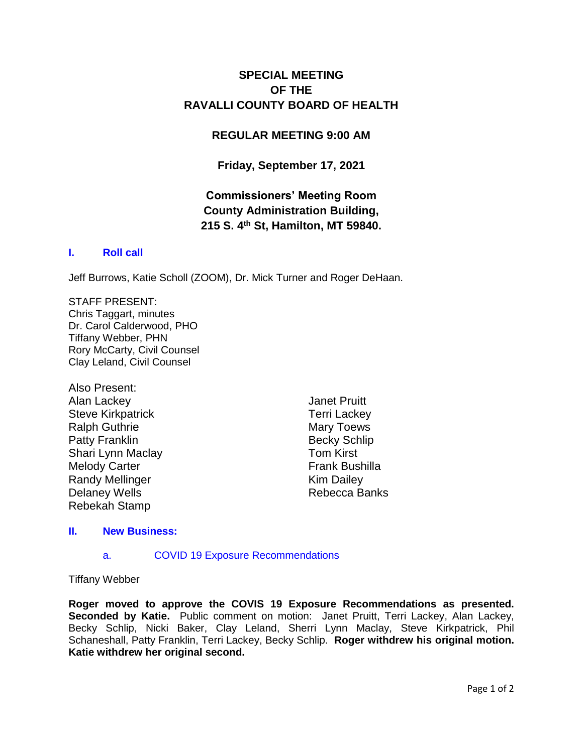# **SPECIAL MEETING OF THE RAVALLI COUNTY BOARD OF HEALTH**

## **REGULAR MEETING 9:00 AM**

## **Friday, September 17, 2021**

# **Commissioners' Meeting Room County Administration Building, 215 S. 4th St, Hamilton, MT 59840.**

### **I. [Roll call](http://ravalli-mt.granicus.com/wordlinkreceiver.php?clip_id=3ce396a9-de92-4bd9-bb2d-ba0af8a9a438&meta_id=b9526c39-bfbf-4909-8e06-61ee029fc4d7&time=2)**

Jeff Burrows, Katie Scholl (ZOOM), Dr. Mick Turner and Roger DeHaan.

STAFF PRESENT: Chris Taggart, minutes Dr. Carol Calderwood, PHO Tiffany Webber, PHN Rory McCarty, Civil Counsel Clay Leland, Civil Counsel

Also Present: Alan Lackey Steve Kirkpatrick Ralph Guthrie Patty Franklin Shari Lynn Maclay Melody Carter Randy Mellinger Delaney Wells Rebekah Stamp

Janet Pruitt Terri Lackey Mary Toews Becky Schlip Tom Kirst Frank Bushilla Kim Dailey Rebecca Banks

#### **II. [New Business:](http://ravalli-mt.granicus.com/wordlinkreceiver.php?clip_id=3ce396a9-de92-4bd9-bb2d-ba0af8a9a438&meta_id=17f1fc08-21ae-4237-9bc1-8da0fdbbfab5&time=21)**

#### a. [COVID 19 Exposure Recommendations](http://ravalli-mt.granicus.com/wordlinkreceiver.php?clip_id=3ce396a9-de92-4bd9-bb2d-ba0af8a9a438&meta_id=b29434c1-aa49-4f6d-83e5-a44cb45b39a0&time=28)

Tiffany Webber

**Roger moved to approve the COVIS 19 Exposure Recommendations as presented.**  Seconded by Katie. Public comment on motion: Janet Pruitt, Terri Lackey, Alan Lackey, Becky Schlip, Nicki Baker, Clay Leland, Sherri Lynn Maclay, Steve Kirkpatrick, Phil Schaneshall, Patty Franklin, Terri Lackey, Becky Schlip. **Roger withdrew his original motion. Katie withdrew her original second.**